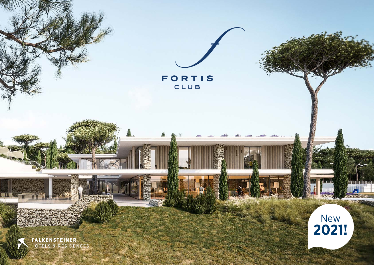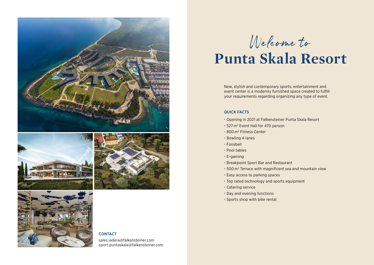







## **CONTACT**

sales.iadera@falkensteiner.com sport.puntaskala@falkensteiner.com

Welcome to

# **Punta Skala Resort**

New, stylish and contemporary sports, entertainment and event center is a modernly furnished space created to fulfill your requirements regarding organizing any type of event.

#### QUICK FACTS

- Opening in 2021 at Falkensteiner Punta Skala Resort
- 527 m2 Event Hall for 470 person
- 800 m2 Fitness Center
- Bowling 4 lanes
- Foosball
- Pool tables
- E-gaming
- Breakpoint Sport Bar and Restaurant
- 500 m2 Terrace with magnificent sea and mountain view
- Easy access to parking spaces
- Top rated technology and sports equipment
- Catering service
- Day and evening functions
- Sports shop with bike rental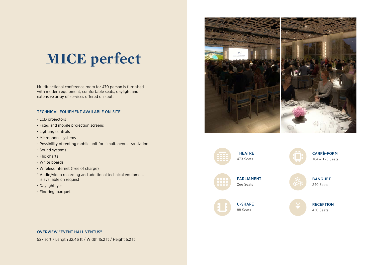## **MICE perfect**

Multifunctional conference room for 470 person is furnished with modern equipment, comfortable seats, daylight and extensive array of services offered on spot.

#### TECHNICAL EQUIPMENT AVAILABLE ON-SITE

- LCD projectors
- Fixed and mobile projection screens
- Lighting controls
- Microphone systems
- Possibility of renting mobile unit for simultaneous translation
- Sound systems
- Flip charts
- White boards
- Wireless internet (free of charge)
- \* Audio/video recording and additional technical equipment is available on request
- Daylight: yes
- Flooring: parquet





CARRÈ-FORM 104 – 120 Seats



BANQUET 240 Seats



88 Seats



#### OVERVIEW "EVENT HALL VENTUS"

527 sqft / Length 32,46 ft / Width 15,2 ft / Height 5,2 ft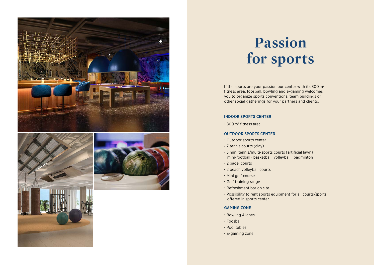

## **Passion for sports**

If the sports are your passion our center with its 800 m2 fitness area, foosball, bowling and e-gaming welcomes you to organize sports conventions, team buildings or other social gatherings for your partners and clients.

#### INDOOR SPORTS CENTER

• 800 m2 fitness area

#### OUTDOOR SPORTS CENTER

- Outdoor sports center
- 7 tennis courts (clay)
- 3 mini tennis/multi-sports courts (artificial lawn) mini-football · basketball volleyball · badminton
- 2 padel courts
- 2 beach volleyball courts
- Mini golf course
- Golf training range
- Refreshment bar on site
- Possibility to rent sports equipment for all courts/sports offered in sports center

#### GAMING ZONE

- Bowling 4 lanes
- Foosball
- Pool tables
- E-gaming zone